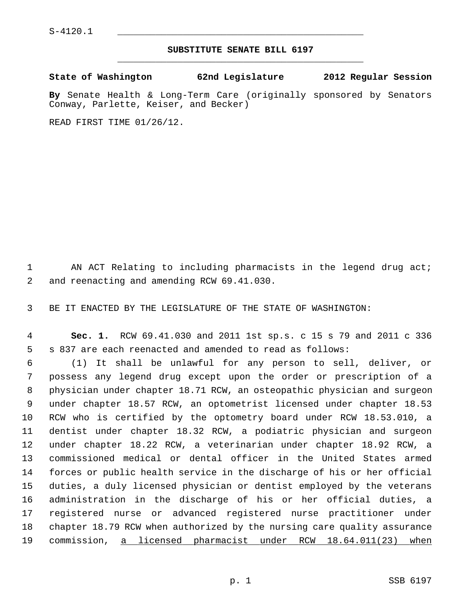## **SUBSTITUTE SENATE BILL 6197** \_\_\_\_\_\_\_\_\_\_\_\_\_\_\_\_\_\_\_\_\_\_\_\_\_\_\_\_\_\_\_\_\_\_\_\_\_\_\_\_\_\_\_\_\_

**State of Washington 62nd Legislature 2012 Regular Session**

**By** Senate Health & Long-Term Care (originally sponsored by Senators Conway, Parlette, Keiser, and Becker)

READ FIRST TIME 01/26/12.

1 AN ACT Relating to including pharmacists in the legend drug act; 2 and reenacting and amending RCW 69.41.030.

3 BE IT ENACTED BY THE LEGISLATURE OF THE STATE OF WASHINGTON:

 4 **Sec. 1.** RCW 69.41.030 and 2011 1st sp.s. c 15 s 79 and 2011 c 336 5 s 837 are each reenacted and amended to read as follows:

 6 (1) It shall be unlawful for any person to sell, deliver, or 7 possess any legend drug except upon the order or prescription of a 8 physician under chapter 18.71 RCW, an osteopathic physician and surgeon 9 under chapter 18.57 RCW, an optometrist licensed under chapter 18.53 10 RCW who is certified by the optometry board under RCW 18.53.010, a 11 dentist under chapter 18.32 RCW, a podiatric physician and surgeon 12 under chapter 18.22 RCW, a veterinarian under chapter 18.92 RCW, a 13 commissioned medical or dental officer in the United States armed 14 forces or public health service in the discharge of his or her official 15 duties, a duly licensed physician or dentist employed by the veterans 16 administration in the discharge of his or her official duties, a 17 registered nurse or advanced registered nurse practitioner under 18 chapter 18.79 RCW when authorized by the nursing care quality assurance 19 commission, a licensed pharmacist under RCW 18.64.011(23) when